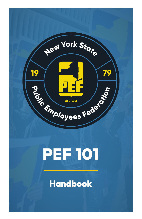

# PEF 101

## Handbook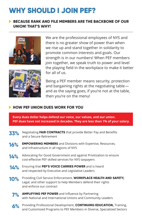## **WHY SHOULD I JOIN PEF?**

#### **BECAUSE RANK AND FILE MEMBERS ARE THE BACKBONE OF OUR UNION! THAT'S WHY!**



we rise up and stand together in solidarity to promote common interests and goals. Our strength is in our numbers! When PEF members join together, we speak truth to power and level the playing field in the workplace to make it better for all of us.

We are the professional employees of NYS and there is no greater show of power than when



Being a PEF member means security, protection and bargaining rights at the negotiating table and as the saying goes, if you're not at the table, then you're on the menu!

#### **HOW PEF UNION DUES WORK FOR YOU**

**Every dues dollar helps defend our voice, our values, and our union. PEF dues have not increased in decades. They are less than 1% of your salary.**

- **33%** Negotiating **FAIR CONTRACTS** that provide Better Pay and Benefits and a Secure Retirement
- **16% EMPOWERING MEMBERS** and Divisions with Expertise, Resources, and Infrastructure in all regions of NYS
- **14%** Advocating for Good Government and against Privitization to ensure cost-effective PEF skilled services for NYS taxpayers
- **14%** Ensuring that **PEF'S VOICE CARRIES POWER** and is heard and respected by Executive and Legislative Leaders
- **10%** Providing Civil Service Enforcement, **WORKPLACE HEALTH AND SAFETY,**  Legal, and other support to help Members defend their rights and enforce our contract
	- **7% AMPLIFYING PEF POWER** and Influence by Partnering with National and International Unions and Community Leaders
	- **6%** Providing Professional Development, **CONTINUING EDUCATION,** Training, and Customized Programs to PEF Members in Diverse, Specialized Sectors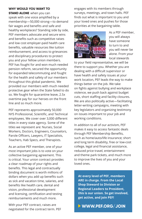#### **WHY WOULD YOU WANT TO**

**STAND ALONE** when you can speak with one voice amplified by a membership—50,000 strong—to demand fair wages and benefits and safe and healthy workplaces? Standing side by side, PEF members advocate and secure wins and benefits such as competitive raises and low cost employer-paid health care benefits, valuable resources like tuition reimbursement, and access to grievances and disciplinary procedures to protect you and your fellow union members. PEF has fought for and won much needed pension reform, secured the opportunity for expanded telecommuting and fought for the health and safety of our members throughout this global pandemic. We provided our members with much needed protective gear when the State failed to do so. We fought for quarantine leave, 2.5x overtime pay for our heroes on the front line and so much more.

PEF represents approximately 50,000 NYS Professional, Scientific, and Technical employees. We cover over 3,000 different titles in every state agency. Some of the titles we represent are: Nurses, Social Workers, Doctors, Engineers, Counselors, Parole Officers, Lawyers, IT Specialists, Teachers, Hab Specs, and Therapists.

As an active PEF member, one of your most important jobs is to vote on your collective bargaining agreement. This is critical. Your union contract provides a clear roadmap of your rights and benefits. This legal and contractually binding document is worth millions of dollars when you add up benefits such as sick and vacation time, salaries, and benefits like health care, dental and vision, professional development and licensing, certification and testing reimbursements and much more.

With your PEF contract, raises are negotiated for the contract term. PEF engages with its members through surveys, meetings, and town halls. PEF finds out what is important to you and your loved ones and pushes for those priorities at the bargaining table.



As a PEF member, you will always have someone to turn to and you will never be alone. From your local stewards

to your field representative, we will be there to support you. Whether you are dealing with a difficult supervisor or have health and safety issues at your work location, PEF leads the way to make things better on the job. We take on fights against bullying and workplace violence, we push back against budget cuts, short staffing and facility closures. We are also politically active—facilitating letter-writing campaigns, meeting with key legislators and organizing testimony on issues important to your job and working conditions.

In addition to all of our activism, PEF makes it easy to access fantastic deals through PEF Membership Benefits, such as home/auto/life insurance; short and long term disability, free or low-cost college, legal and financial assistance, reduced price travel, entertainment and theme park tickets, and much more to improve the lives of you and your loved ones.

 **At every level of PEF, members ARE in charge. From the Local Shop Steward to Division or Regional Leaders to President, this is our union. So get involved, get active, and join PEF!** 

 **WWW.PEF.ORG/JOIN**